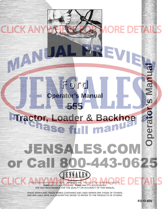# **Operator's Manual555 [Tractor, Loader & Backhoe](http://www.jensales.com/products/ford-555-tractor-loader-backhoe-operators-manual.html)** Operato man JENSALES.COM or Call 800-443-0625 **ISALES**

Ford

**CLICK AN** 

VAN

**Operator's Manual**

THIS IS A MANUAL PRODUCED BY **JENSALES INC.** WITHOUT THE AUTHORIZATION OF **FORD** OR IT'S SUCCESSORS. **FORD** AND IT'S SUCCESSORS ARE NOT RESPONSIBLE FOR THE QUALITY OR ACCURACY OF THIS MANUAL.

TRADE MARKS AND TRADE NAMES CONTAINED AND USED HEREIN ARE THOSE OF OTHERS, AND ARE USED HERE IN A DESCRIPTIVE SENSE TO REFER TO THE PRODUCTS OF OTHERS.

**FO-O-555**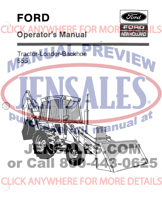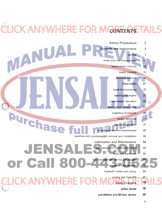### **CI ICK ANYWHERE FOR MCONTENTS TAILS**

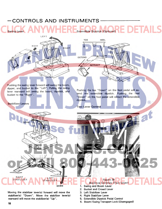### $-CONTROLS AND INSTRUMENTS$

![](_page_3_Picture_1.jpeg)

Moving the stabilizer lever(s) forward will move the stabilizer(s) "Down". Move the stabilizer lever(s) rearward will move the stabilizer(s) "Up".

#### 5. Extendible Dipstick Pedal Control

4. Right Stabilizer Lever

6. Boom/Swing Transport Lock (Disengaged)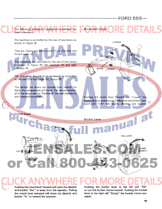# [-------------------FORD 555-](http://www.jensales.com/products/ford-555-tractor-loader-backhoe-operators-manual.html)

![](_page_4_Figure_1.jpeg)

Pushing the crowd lever forward will move the dipstick and bucket "Out" or away from the operator. Pulling the crowd lever rearward will move the dipstick and bucket "In" or toward the operator.

Pushing the bucket lever to the left will "Fill" or curl the bucket (move inward). Pushing the bucket lever to the right will "Dump" the bucket (move outward).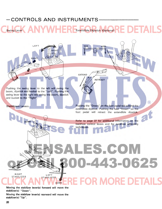### $-$  CONTROLS AND INSTRUMENTS-

Swing Lever Extendible Dipstick (Optional)

LEFT ... TOE HEEL **1** lQJ **1 NEXT RIGHT RIGHT** LEFT **EXTEND RETRACT** Pushing the swing lever to the left will swing the boom, dipstick and bucket to the "Left". Pushing the swing lever to the right will swing the boom, dipstick and bucket to the "Right".  $\circledR$ Pushing the "Down" on the foot pedal will extend the Stabilizers Levers extendible dipstick. Pushing the heel "Down" on the foot pedal will retract the extendible dipstick. DU DOWN Refer to page 37 for additional information on the backhoe control levers and for backhoe operating techniques. SALES.COM 0-443-0625 UP RiGHT LEFT STABILIZER **STABILIZER FOR MORE DETAILS DOWN** Moving the stabilizer lever(s) forward will move the

stabilizer(s) "Down". Moving the stabilizer lever(s) rearward will move the

stabilizer(s) "Up".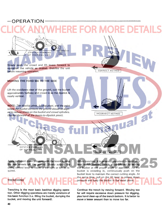### [-OPERATION ----------------](http://www.jensales.com/products/ford-555-tractor-loader-backhoe-operators-manual.html) DIPSTICK FORWARD OF VERTICAL LINE Slowly push the crowd and lift levers forward to reposition the vehicle as desired. Stabilize the unit CORRECT METHOD before resuming operation. MOVING THE FORD 555 TO THE SIDE Lift the stabilizers clear of the ground, curl the bucket approximately halfway and crowd in 50 the dipstick is nearly vertical.  $\circledR$ NOTE: *The dipstick pivot, bucket pivot, and the point where the bucket contacts the ground should be aligned to reduce stress on the bucket and crowd cylinders.*  INCORRECT METHOD *(Bucket forward of the boom-to-dipstick pivot).*  DIPSTICK FORWARD OF VERTICAL LINE INCORRECT METHOD Apply sufficient down pressure with the boom to raise While trenching, it is generally important to maintain a the rear wheels off the ground. Slowly actuate the level trench bottom. This is accomplished by setting swing control lever to move to the right or left as rethe bucket at the proper angle of approach. As the quired. bucket is crowding in, continuously push on the bucket lever to maintain the correct cutting angle. At the same time, pull on the lift lever to relieve down **TRENCHING** pressure and keep the bucket in the same plane. Trenching is the most basic backhoe digging opera-Continue the trench by moving forward. Moving too

far will require excessive down pressure for digging, plus hand clean-up of the trench bottom. It is better to

move a lesser amount than to move too far.

tion. Other digging operations are merely variations of this basic function (i.e. filling the bucket, dumping the bucket, and moving the unit forward).

40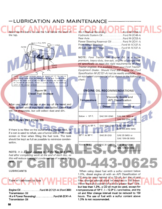### -LUBRICATION AND MAINTENANCE-

Never tip the barrel to use the fuel below the level of the tap.

![](_page_7_Picture_2.jpeg)

the discharge outlet is on the highest end of the tank. Provide a drain plug at the lowest point of the tank so that moisture and sediment can be drained off periodically. Install a suitable filter on the discharg outlet of the storage containe

> Figure 66 Diesel Fuel Storage

After use, install the cap at the top of the barrel and clean up fuel which may have been spilled. Diesel fuel will not evaporate, but will collect dust and dirt.

REFUELING THE FORD 555

If there is no filter on the outlet of the storage tank, or if a can is used to refuel, use a funnel with a 100-mesh screen or finer when filling the fuel tank. The tank should be kept as full as possible to minimize condensation.

NOTE: It is a good practice to fill the fuel tank with fuel after completing work at the end of each day, as this will reduce overnight condensation of water in the

LUBRICANTS

tank.

![](_page_7_Picture_10.jpeg)

Engine Oil .............. Ford M-2C121-A (Ford 300) Transmission Oil (4 x 4 Power Reversing) ............. Ford M-2C41-A Transmission Oil

| Hydraulic System Oil Ford M-2C48-A         |  |
|--------------------------------------------|--|
|                                            |  |
| Power Steering Reservoir Oil Ford M-2C41-A |  |
| Front Wheel Bearings Ford M-1C137-A        |  |
| All Lubrication FittingsFord M-1C137-A     |  |

NOTE: Ford Tractor 300 Engine Oil, is a super premium, heavy-duty, low-ash, engine oil compounded specifically to meet the rigid requirements of Ford Tractor engines. It is available from your Ford Tractor-Equipment Dealer. Should Ford 300 Engine Oil (Ford Specification M-2C121-A) not be readily available, use an equivalent commercial oil as shown in the following chart:

| <b>Temperature</b>         |                     | <b>Viscosity Grade and</b><br><b>APL Classification</b> |
|----------------------------|---------------------|---------------------------------------------------------|
|                            | <b>Diesel</b>       | Gasoline                                                |
| Below $+10^{\circ}$ F.     | SAE 5W (DM)         | SAE 5W (MS) or<br><b>SAE 5W-20W (MS)</b>                |
| $+10^{\circ}$ E, to 40° F. | <b>SAE 10W (DS)</b> | SAE 10W (MS) or<br><b>SAE 5W-20W (MS)</b>               |
| 32° F. to 90° F.           | <b>SAE 20 (DS)</b>  | SAE 20 (MS) or<br><b>SAE 10W-30 (MS)</b>                |
| Above 75° F.               | SAE 30 (DS)         | SAE 30 (MS) or<br><b>SAE 10W-30 (MS)</b>                |

ENGINE OIL RECOMMENDATIONS

When using diesel fuel with a sulfur content below 1.0%, diesel engine oil with an API Classification of CC may be used instead of a CD oil, but the oil and filter change interval must be reduced to 150 hours. When the sulfur content of a fuel is greater than 1.0%, but less than 1.3%, a CD oil must be used, except for  $\triangleleft$  temperatures of 10 $\degree$  F. (-12.0 $\degree$  C.) and below, and the oil and filter change interval must be reduced to 150 hours. The use of fuel with a sulfur content above 1.3% is not recommended.

3-062